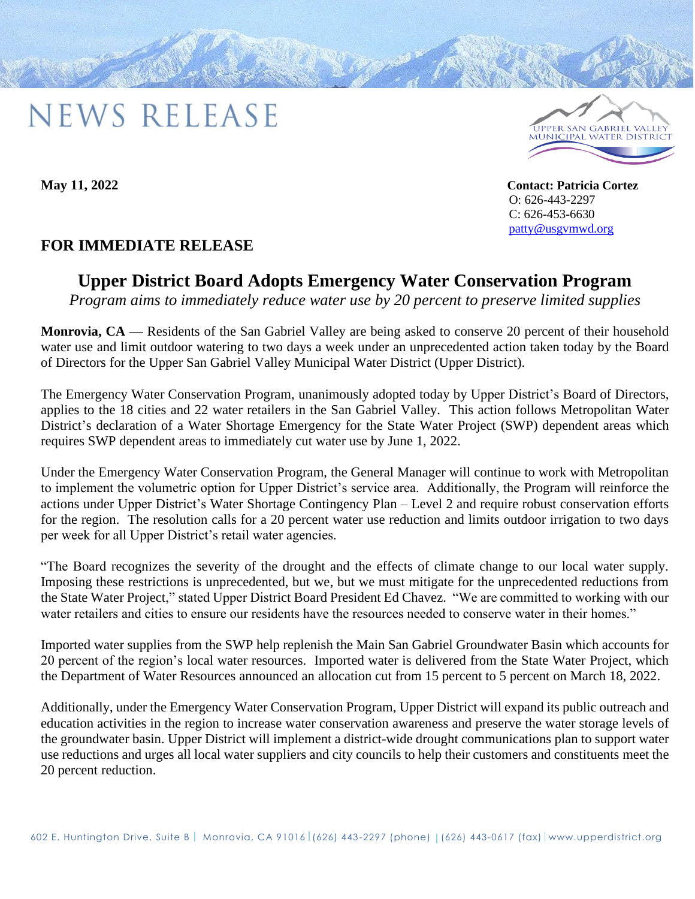## **NEWS RELEASE**



**May 11, 2022 Contact: Patricia Cortez** O: 626-443-2297 C: 626-453-6630 [patty@usgvmwd.org](mailto:patty@usgvmwd.org)

## **FOR IMMEDIATE RELEASE**

## **Upper District Board Adopts Emergency Water Conservation Program**

*Program aims to immediately reduce water use by 20 percent to preserve limited supplies*

**Monrovia, CA** — Residents of the San Gabriel Valley are being asked to conserve 20 percent of their household water use and limit outdoor watering to two days a week under an unprecedented action taken today by the Board of Directors for the Upper San Gabriel Valley Municipal Water District (Upper District).

The Emergency Water Conservation Program, unanimously adopted today by Upper District's Board of Directors, applies to the 18 cities and 22 water retailers in the San Gabriel Valley. This action follows Metropolitan Water District's declaration of a Water Shortage Emergency for the State Water Project (SWP) dependent areas which requires SWP dependent areas to immediately cut water use by June 1, 2022.

Under the Emergency Water Conservation Program, the General Manager will continue to work with Metropolitan to implement the volumetric option for Upper District's service area. Additionally, the Program will reinforce the actions under Upper District's Water Shortage Contingency Plan – Level 2 and require robust conservation efforts for the region. The resolution calls for a 20 percent water use reduction and limits outdoor irrigation to two days per week for all Upper District's retail water agencies.

"The Board recognizes the severity of the drought and the effects of climate change to our local water supply. Imposing these restrictions is unprecedented, but we, but we must mitigate for the unprecedented reductions from the State Water Project," stated Upper District Board President Ed Chavez. "We are committed to working with our water retailers and cities to ensure our residents have the resources needed to conserve water in their homes."

Imported water supplies from the SWP help replenish the Main San Gabriel Groundwater Basin which accounts for 20 percent of the region's local water resources. Imported water is delivered from the State Water Project, which the Department of Water Resources announced an allocation cut from 15 percent to 5 percent on March 18, 2022.

Additionally, under the Emergency Water Conservation Program, Upper District will expand its public outreach and education activities in the region to increase water conservation awareness and preserve the water storage levels of the groundwater basin. Upper District will implement a district-wide drought communications plan to support water use reductions and urges all local water suppliers and city councils to help their customers and constituents meet the 20 percent reduction.